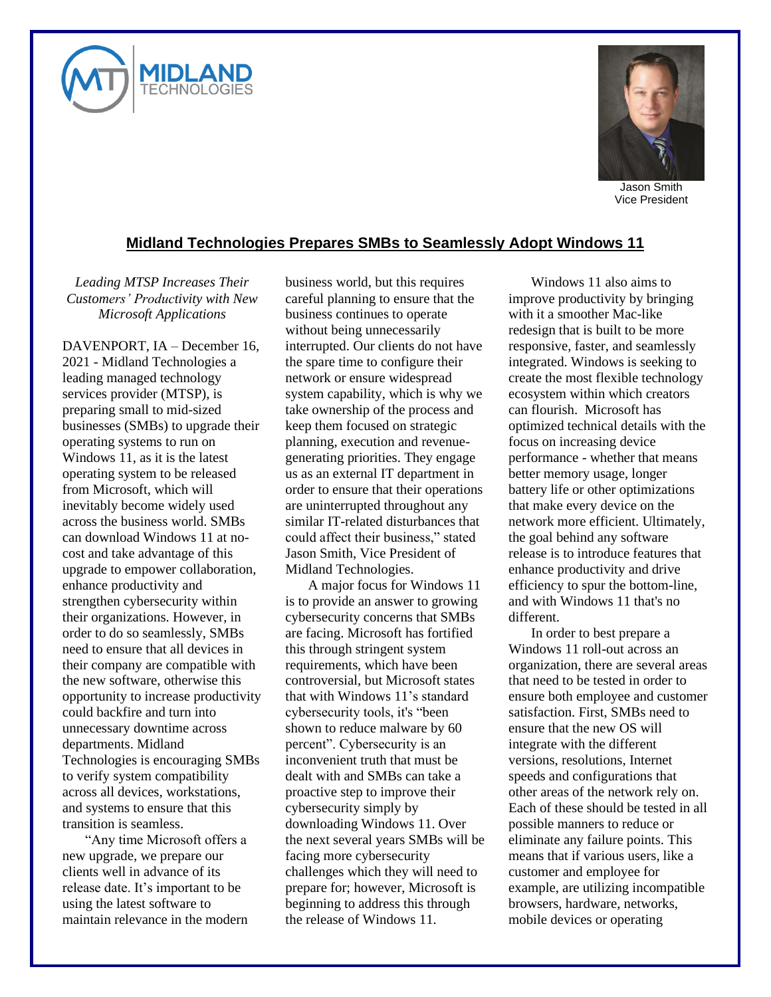



Jason Smith Vice President

## **Midland Technologies Prepares SMBs to Seamlessly Adopt Windows 11**

*Leading MTSP Increases Their Customers' Productivity with New Microsoft Applications*

DAVENPORT, IA – December 16, 2021 - Midland Technologies a leading managed technology services provider (MTSP), is preparing small to mid-sized businesses (SMBs) to upgrade their operating systems to run on Windows 11, as it is the latest operating system to be released from Microsoft, which will inevitably become widely used across the business world. SMBs can download Windows 11 at nocost and take advantage of this upgrade to empower collaboration, enhance productivity and strengthen cybersecurity within their organizations. However, in order to do so seamlessly, SMBs need to ensure that all devices in their company are compatible with the new software, otherwise this opportunity to increase productivity could backfire and turn into unnecessary downtime across departments. Midland Technologies is encouraging SMBs to verify system compatibility across all devices, workstations, and systems to ensure that this transition is seamless.

"Any time Microsoft offers a new upgrade, we prepare our clients well in advance of its release date. It's important to be using the latest software to maintain relevance in the modern business world, but this requires careful planning to ensure that the business continues to operate without being unnecessarily interrupted. Our clients do not have the spare time to configure their network or ensure widespread system capability, which is why we take ownership of the process and keep them focused on strategic planning, execution and revenuegenerating priorities. They engage us as an external IT department in order to ensure that their operations are uninterrupted throughout any similar IT-related disturbances that could affect their business," stated Jason Smith, Vice President of Midland Technologies.

A major focus for Windows 11 is to provide an answer to growing cybersecurity concerns that SMBs are facing. Microsoft has fortified this through stringent system requirements, which have been controversial, but Microsoft states that with Windows 11's standard cybersecurity tools, it's "been shown to reduce malware by 60 percent". Cybersecurity is an inconvenient truth that must be dealt with and SMBs can take a proactive step to improve their cybersecurity simply by downloading Windows 11. Over the next several years SMBs will be facing more cybersecurity challenges which they will need to prepare for; however, Microsoft is beginning to address this through the release of Windows 11.

Windows 11 also aims to improve productivity by bringing with it a smoother Mac-like redesign that is built to be more responsive, faster, and seamlessly integrated. Windows is seeking to create the most flexible technology ecosystem within which creators can flourish. Microsoft has optimized technical details with the focus on increasing device performance - whether that means better memory usage, longer battery life or other optimizations that make every device on the network more efficient. Ultimately, the goal behind any software release is to introduce features that enhance productivity and drive efficiency to spur the bottom-line, and with Windows 11 that's no different.

In order to best prepare a Windows 11 roll-out across an organization, there are several areas that need to be tested in order to ensure both employee and customer satisfaction. First, SMBs need to ensure that the new OS will integrate with the different versions, resolutions, Internet speeds and configurations that other areas of the network rely on. Each of these should be tested in all possible manners to reduce or eliminate any failure points. This means that if various users, like a customer and employee for example, are utilizing incompatible browsers, hardware, networks, mobile devices or operating